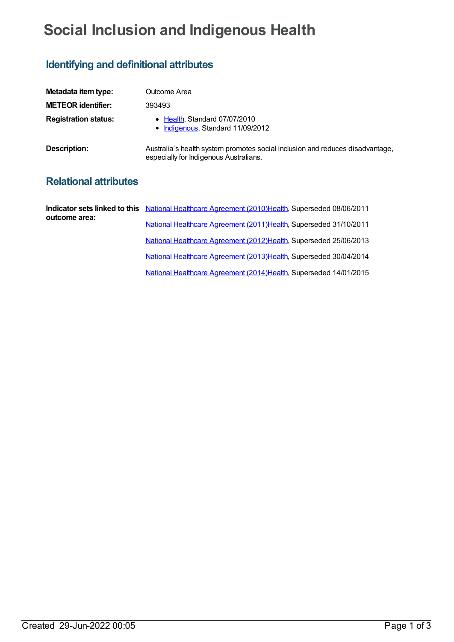## **Social Inclusion and Indigenous Health**

## **Identifying and definitional attributes**

| Metadata item type:         | Outcome Area                                                                                                            |
|-----------------------------|-------------------------------------------------------------------------------------------------------------------------|
| <b>METEOR identifier:</b>   | 393493                                                                                                                  |
| <b>Registration status:</b> | • Health, Standard 07/07/2010<br>• Indigenous, Standard 11/09/2012                                                      |
| Description:                | Australia's health system promotes social inclusion and reduces disadvantage,<br>especially for Indigenous Australians. |

## **Relational attributes**

|               | Indicator sets linked to this National Healthcare Agreement (2010) Health, Superseded 08/06/2011 |
|---------------|--------------------------------------------------------------------------------------------------|
| outcome area: | National Healthcare Agreement (2011) Health, Superseded 31/10/2011                               |
|               | National Healthcare Agreement (2012)Health, Superseded 25/06/2013                                |
|               | National Healthcare Agreement (2013) Health, Superseded 30/04/2014                               |
|               | National Healthcare Agreement (2014) Health, Superseded 14/01/2015                               |